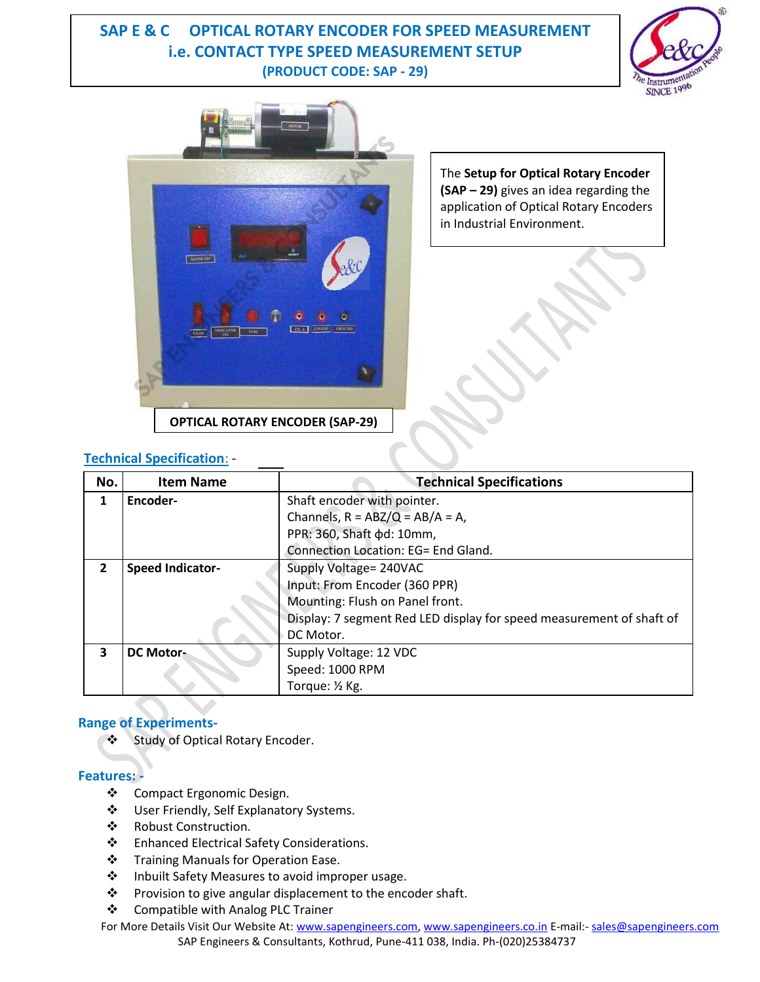# **SAP E & C OPTICAL ROTARY ENCODER FOR SPEED MEASUREMENT i.e. CONTACT TYPE SPEED MEASUREMENT SETUP (PRODUCT CODE: SAP - 29)**





The **Setup for Optical Rotary Encoder (SAP – 29)** gives an idea regarding the application of Optical Rotary Encoders in Industrial Environment.

## **Technical Specification**: -

| No. | <b>Item Name</b>        | <b>Technical Specifications</b>                                      |
|-----|-------------------------|----------------------------------------------------------------------|
| 1   | Encoder-                | Shaft encoder with pointer.                                          |
|     |                         | Channels, $R = ABZ/Q = AB/A = A$ ,                                   |
|     |                         | PPR: 360, Shaft $\phi$ d: 10mm,                                      |
|     |                         | Connection Location: EG= End Gland.                                  |
| 2   | <b>Speed Indicator-</b> | Supply Voltage= 240VAC                                               |
|     |                         | Input: From Encoder (360 PPR)                                        |
|     |                         | Mounting: Flush on Panel front.                                      |
|     |                         | Display: 7 segment Red LED display for speed measurement of shaft of |
|     |                         | DC Motor.                                                            |
| 3   | <b>DC Motor-</b>        | Supply Voltage: 12 VDC                                               |
|     |                         | Speed: 1000 RPM                                                      |
|     |                         | Torque: 1/2 Kg.                                                      |

### **Range of Experiments-**

Study of Optical Rotary Encoder.

### **Features: -**

- Compact Ergonomic Design.
- User Friendly, Self Explanatory Systems.
- ❖ Robust Construction.
- ❖ Enhanced Electrical Safety Considerations.
- ❖ Training Manuals for Operation Ease.
- ❖ Inbuilt Safety Measures to avoid improper usage.
- \* Provision to give angular displacement to the encoder shaft.
- Compatible with Analog PLC Trainer

For More Details Visit Our Website At: [www.sapengineers.com,](http://www.sapengineers.com/) www.sapengineers.co.in E-mail:- [sales@sapengineers.com](mailto:sales@sapengineers.com) SAP Engineers & Consultants, Kothrud, Pune-411 038, India. Ph-(020)25384737